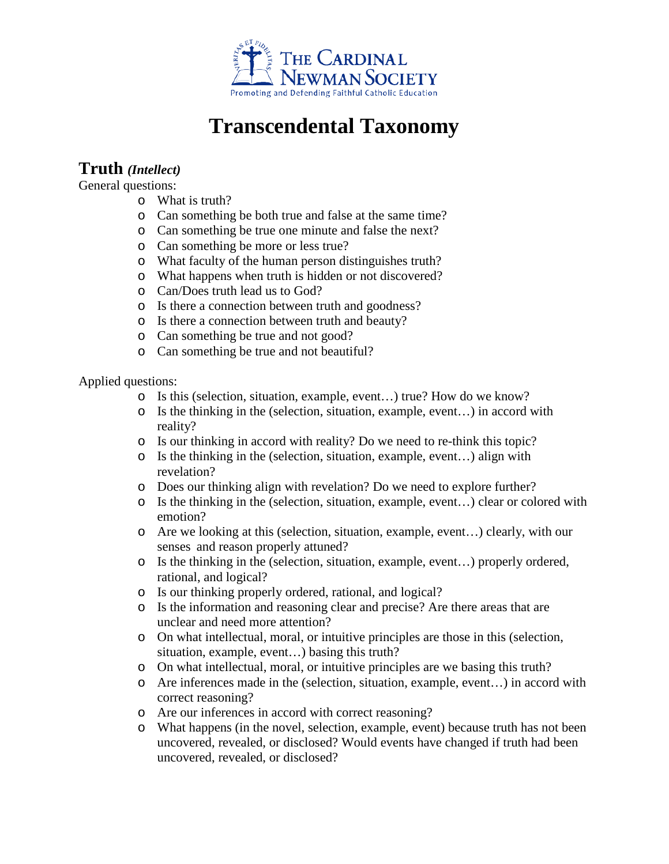

## **Transcendental Taxonomy**

## **Truth** *(Intellect)*

General questions:

- o What is truth?
- o Can something be both true and false at the same time?
- o Can something be true one minute and false the next?
- o Can something be more or less true?
- o What faculty of the human person distinguishes truth?
- o What happens when truth is hidden or not discovered?
- o Can/Does truth lead us to God?
- o Is there a connection between truth and goodness?
- o Is there a connection between truth and beauty?
- o Can something be true and not good?
- o Can something be true and not beautiful?

Applied questions:

- o Is this (selection, situation, example, event…) true? How do we know?
- o Is the thinking in the (selection, situation, example, event…) in accord with reality?
- o Is our thinking in accord with reality? Do we need to re-think this topic?
- o Is the thinking in the (selection, situation, example, event…) align with revelation?
- o Does our thinking align with revelation? Do we need to explore further?
- o Is the thinking in the (selection, situation, example, event…) clear or colored with emotion?
- o Are we looking at this (selection, situation, example, event…) clearly, with our senses and reason properly attuned?
- o Is the thinking in the (selection, situation, example, event…) properly ordered, rational, and logical?
- o Is our thinking properly ordered, rational, and logical?
- o Is the information and reasoning clear and precise? Are there areas that are unclear and need more attention?
- o On what intellectual, moral, or intuitive principles are those in this (selection, situation, example, event…) basing this truth?
- o On what intellectual, moral, or intuitive principles are we basing this truth?
- o Are inferences made in the (selection, situation, example, event…) in accord with correct reasoning?
- o Are our inferences in accord with correct reasoning?
- o What happens (in the novel, selection, example, event) because truth has not been uncovered, revealed, or disclosed? Would events have changed if truth had been uncovered, revealed, or disclosed?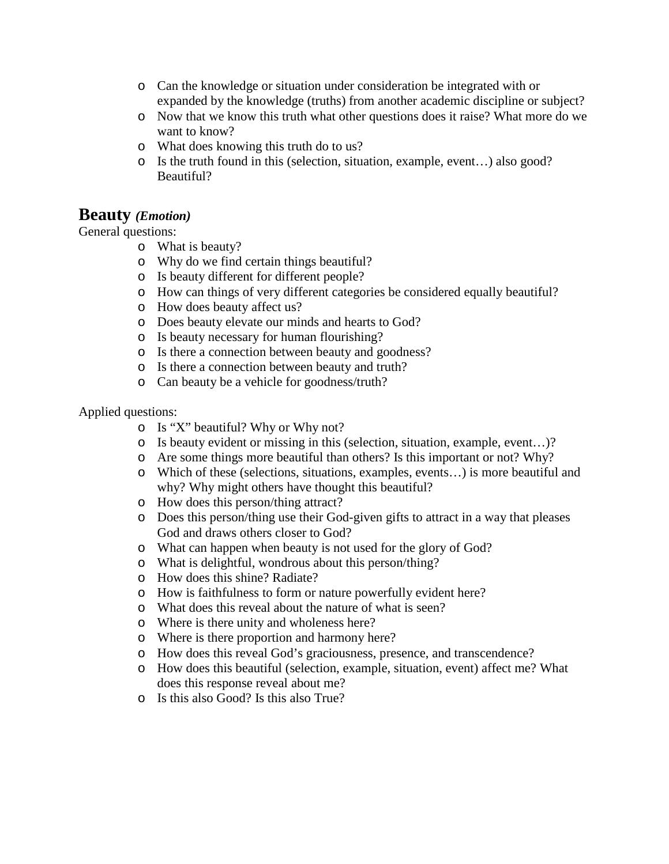- o Can the knowledge or situation under consideration be integrated with or expanded by the knowledge (truths) from another academic discipline or subject?
- o Now that we know this truth what other questions does it raise? What more do we want to know?
- o What does knowing this truth do to us?
- o Is the truth found in this (selection, situation, example, event…) also good? Beautiful?

## **Beauty** *(Emotion)*

General questions:

- o What is beauty?
- o Why do we find certain things beautiful?
- o Is beauty different for different people?
- o How can things of very different categories be considered equally beautiful?
- o How does beauty affect us?
- o Does beauty elevate our minds and hearts to God?
- o Is beauty necessary for human flourishing?
- o Is there a connection between beauty and goodness?
- o Is there a connection between beauty and truth?
- o Can beauty be a vehicle for goodness/truth?

Applied questions:

- o Is "X" beautiful? Why or Why not?
- o Is beauty evident or missing in this (selection, situation, example, event…)?
- o Are some things more beautiful than others? Is this important or not? Why?
- o Which of these (selections, situations, examples, events…) is more beautiful and why? Why might others have thought this beautiful?
- o How does this person/thing attract?
- o Does this person/thing use their God-given gifts to attract in a way that pleases God and draws others closer to God?
- o What can happen when beauty is not used for the glory of God?
- o What is delightful, wondrous about this person/thing?
- o How does this shine? Radiate?
- o How is faithfulness to form or nature powerfully evident here?
- o What does this reveal about the nature of what is seen?
- o Where is there unity and wholeness here?
- o Where is there proportion and harmony here?
- o How does this reveal God's graciousness, presence, and transcendence?
- o How does this beautiful (selection, example, situation, event) affect me? What does this response reveal about me?
- o Is this also Good? Is this also True?